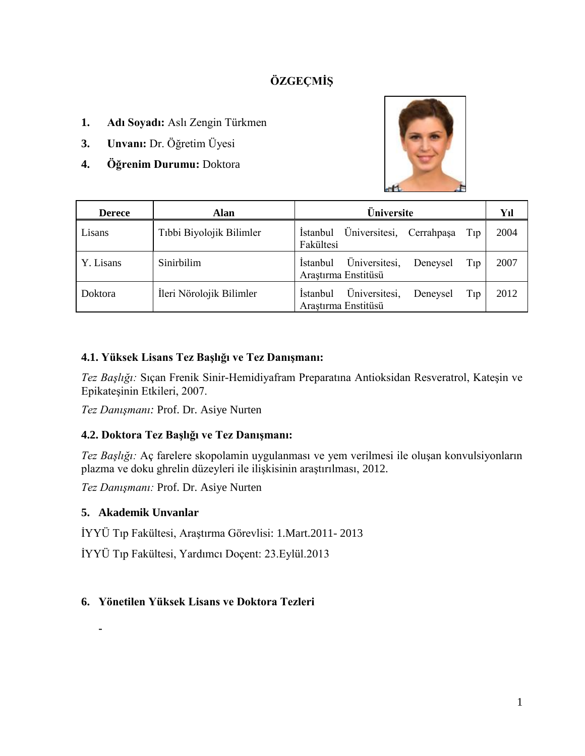# **ÖZGEÇMİŞ**

- **1. Adı Soyadı:** Aslı Zengin Türkmen
- **3. Unvanı:** Dr. Öğretim Üyesi
- **4. Öğrenim Durumu:** Doktora



| <b>Derece</b> | Alan                     | <b>Üniversite</b>                                                           | Yıl  |
|---------------|--------------------------|-----------------------------------------------------------------------------|------|
| Lisans        | Tıbbi Biyolojik Bilimler | Üniversitesi, Cerrahpaşa<br><i>i</i> stanbul<br>Tip<br>Fakültesi            | 2004 |
| Y. Lisans     | Sinirbilim               | Üniversitesi,<br><i>i</i> stanbul<br>Deneysel<br>Tip<br>Arastırma Enstitüsü | 2007 |
| Doktora       | İleri Nörolojik Bilimler | Üniversitesi,<br><b>Istanbul</b><br>Deneysel<br>Tip<br>Arastırma Enstitüsü  | 2012 |

### **4.1. Yüksek Lisans Tez Başlığı ve Tez Danışmanı:**

*Tez Başlığı:* Sıçan Frenik Sinir-Hemidiyafram Preparatına Antioksidan Resveratrol, Kateşin ve Epikateşinin Etkileri, 2007.

*Tez Danışmanı:* Prof. Dr. Asiye Nurten

### **4.2. Doktora Tez Başlığı ve Tez Danışmanı:**

*Tez Başlığı:* Aç farelere skopolamin uygulanması ve yem verilmesi ile oluşan konvulsiyonların plazma ve doku ghrelin düzeyleri ile ilişkisinin araştırılması, 2012.

*Tez Danışmanı:* Prof. Dr. Asiye Nurten

### **5. Akademik Unvanlar**

**-**

İYYÜ Tıp Fakültesi, Araştırma Görevlisi: 1.Mart.2011- 2013

İYYÜ Tıp Fakültesi, Yardımcı Doçent: 23.Eylül.2013

### **6. Yönetilen Yüksek Lisans ve Doktora Tezleri**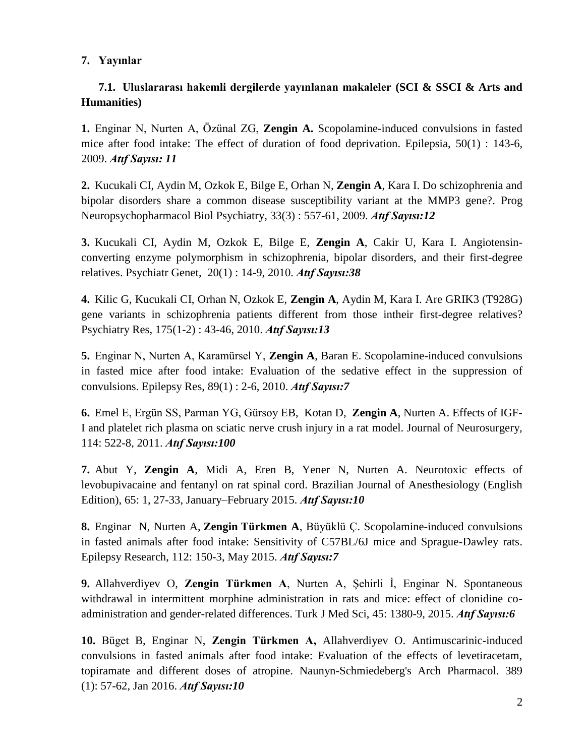### **7. Yayınlar**

## **7.1. Uluslararası hakemli dergilerde yayınlanan makaleler (SCI & SSCI & Arts and Humanities)**

**1.** Enginar N, Nurten A, Özünal ZG, **Zengin A.** Scopolamine-induced convulsions in fasted mice after food intake: The effect of duration of food deprivation. Epilepsia, 50(1) : 143-6, 2009. *Atıf Sayısı: 11*

**2.** [Kucukali CI,](http://www.ncbi.nlm.nih.gov/sites/entrez?Db=pubmed&Cmd=Search&Term=%22Kucukali%20CI%22%5BAuthor%5D&itool=EntrezSystem2.PEntrez.Pubmed.Pubmed_ResultsPanel.Pubmed_DiscoveryPanel.Pubmed_RVAbstractPlus) [Aydin M,](http://www.ncbi.nlm.nih.gov/sites/entrez?Db=pubmed&Cmd=Search&Term=%22Aydin%20M%22%5BAuthor%5D&itool=EntrezSystem2.PEntrez.Pubmed.Pubmed_ResultsPanel.Pubmed_DiscoveryPanel.Pubmed_RVAbstractPlus) [Ozkok E,](http://www.ncbi.nlm.nih.gov/sites/entrez?Db=pubmed&Cmd=Search&Term=%22Ozkok%20E%22%5BAuthor%5D&itool=EntrezSystem2.PEntrez.Pubmed.Pubmed_ResultsPanel.Pubmed_DiscoveryPanel.Pubmed_RVAbstractPlus) [Bilge E,](http://www.ncbi.nlm.nih.gov/sites/entrez?Db=pubmed&Cmd=Search&Term=%22Bilge%20E%22%5BAuthor%5D&itool=EntrezSystem2.PEntrez.Pubmed.Pubmed_ResultsPanel.Pubmed_DiscoveryPanel.Pubmed_RVAbstractPlus) [Orhan N,](http://www.ncbi.nlm.nih.gov/sites/entrez?Db=pubmed&Cmd=Search&Term=%22Orhan%20N%22%5BAuthor%5D&itool=EntrezSystem2.PEntrez.Pubmed.Pubmed_ResultsPanel.Pubmed_DiscoveryPanel.Pubmed_RVAbstractPlus) **[Zengin A](http://www.ncbi.nlm.nih.gov/sites/entrez?Db=pubmed&Cmd=Search&Term=%22Zengin%20A%22%5BAuthor%5D&itool=EntrezSystem2.PEntrez.Pubmed.Pubmed_ResultsPanel.Pubmed_DiscoveryPanel.Pubmed_RVAbstractPlus)**, [Kara I.](http://www.ncbi.nlm.nih.gov/sites/entrez?Db=pubmed&Cmd=Search&Term=%22Kara%20I%22%5BAuthor%5D&itool=EntrezSystem2.PEntrez.Pubmed.Pubmed_ResultsPanel.Pubmed_DiscoveryPanel.Pubmed_RVAbstractPlus) Do schizophrenia and bipolar disorders share a common disease susceptibility variant at the MMP3 gene?. [Prog](javascript:AL_get(this,%20) [Neuropsychopharmacol Biol Psychiatry,](javascript:AL_get(this,%20) 33(3) : 557-61, 2009. *Atıf Sayısı:12*

**3.** [Kucukali CI,](http://www.ncbi.nlm.nih.gov/pubmed?term=%22Kucukali%20CI%22%5BAuthor%5D&itool=EntrezSystem2.PEntrez.Pubmed.Pubmed_ResultsPanel.Pubmed_RVAbstract) [Aydin M,](http://www.ncbi.nlm.nih.gov/pubmed?term=%22Aydin%20M%22%5BAuthor%5D&itool=EntrezSystem2.PEntrez.Pubmed.Pubmed_ResultsPanel.Pubmed_RVAbstract) [Ozkok E,](http://www.ncbi.nlm.nih.gov/pubmed?term=%22Ozkok%20E%22%5BAuthor%5D&itool=EntrezSystem2.PEntrez.Pubmed.Pubmed_ResultsPanel.Pubmed_RVAbstract) [Bilge E,](http://www.ncbi.nlm.nih.gov/pubmed?term=%22Bilge%20E%22%5BAuthor%5D&itool=EntrezSystem2.PEntrez.Pubmed.Pubmed_ResultsPanel.Pubmed_RVAbstract) **[Zengin A](http://www.ncbi.nlm.nih.gov/pubmed?term=%22Zengin%20A%22%5BAuthor%5D&itool=EntrezSystem2.PEntrez.Pubmed.Pubmed_ResultsPanel.Pubmed_RVAbstract)**, [Cakir U,](http://www.ncbi.nlm.nih.gov/pubmed?term=%22Cakir%20U%22%5BAuthor%5D&itool=EntrezSystem2.PEntrez.Pubmed.Pubmed_ResultsPanel.Pubmed_RVAbstract) [Kara I.](http://www.ncbi.nlm.nih.gov/pubmed?term=%22Kara%20I%22%5BAuthor%5D&itool=EntrezSystem2.PEntrez.Pubmed.Pubmed_ResultsPanel.Pubmed_RVAbstract) Angiotensinconverting enzyme polymorphism in schizophrenia, bipolar disorders, and their first-degree relatives. [Psychiatr Genet,](javascript:AL_get(this,%20) 20(1) : 14-9, 2010. *Atıf Sayısı:38*

**4.** Kilic G, Kucukali CI, Orhan N, Ozkok E, **Zengin A**, Aydin M, Kara I. [Are GRIK3 \(T928G\)](http://www.ncbi.nlm.nih.gov/pubmed/19995671?itool=EntrezSystem2.PEntrez.Pubmed.Pubmed_ResultsPanel.Pubmed_RVDocSum&ordinalpos=2)  [gene variants in schizophrenia patients different from those intheir first-degree relatives?](http://www.ncbi.nlm.nih.gov/pubmed/19995671?itool=EntrezSystem2.PEntrez.Pubmed.Pubmed_ResultsPanel.Pubmed_RVDocSum&ordinalpos=2) Psychiatry Res, 175(1-2) : 43-46, 2010. *Atıf Sayısı:13*

**5.** Enginar N, Nurten A, Karamürsel Y, **Zengin A**, Baran E. Scopolamine-induced convulsions in fasted mice after food intake: Evaluation of the sedative effect in the suppression of convulsions. Epilepsy Res, 89(1) : 2-6, 2010. *Atıf Sayısı:7*

**6.** Emel E, Ergün SS, Parman YG, Gürsoy EB, Kotan D, **Zengin A**, Nurten A. Effects of IGF-I and platelet rich plasma on sciatic nerve crush injury in a rat model. Journal of Neurosurgery, 114: 522-8, 2011. *Atıf Sayısı:100*

**7.** Abut Y, **Zengin A**, Midi A, Eren B, Yener N, Nurten A. Neurotoxic effects of levobupivacaine and fentanyl on rat spinal cord. [Brazilian Journal of Anesthesiology \(English](http://www.sciencedirect.com/science/journal/01040014)  [Edition\),](http://www.sciencedirect.com/science/journal/01040014) [65: 1,](http://www.sciencedirect.com/science/journal/01040014/65/1) 27-33, January–February 2015. *Atıf Sayısı:10*

**8.** Enginar N, Nurten A, **Zengin Türkmen A**, Büyüklü Ç. [Scopolamine-induced convulsions](http://www.sciencedirect.com/science/article/pii/S0920121115000480)  [in fasted animals after food intake: Sensitivity of C57BL/6J mice and Sprague-Dawley rats.](http://www.sciencedirect.com/science/article/pii/S0920121115000480) Epilepsy Research, 112: 150-3, May 2015. *Atıf Sayısı:7*

**9.** Allahverdiyev O, **Zengin Türkmen A**, Nurten A, Şehirli İ, Enginar N. Spontaneous withdrawal in intermittent morphine administration in rats and mice: effect of clonidine coadministration and gender-related differences. Turk J Med Sci, 45: 1380-9, 2015. *Atıf Sayısı:6*

**10.** Büget B, Enginar N, **Zengin Türkmen A,** Allahverdiyev O. Antimuscarinic-induced convulsions in fasted animals after food intake: Evaluation of the effects of levetiracetam, topiramate and different doses of atropine. Naunyn-Schmiedeberg's Arch Pharmacol. 389 (1): 57-62, Jan 2016. *Atıf Sayısı:10*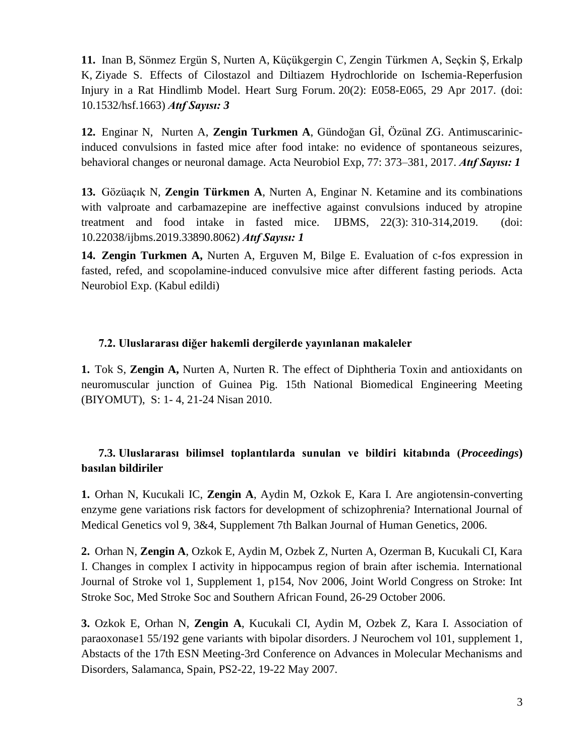**11.** [Inan B,](https://www.ncbi.nlm.nih.gov/pubmed/?term=Inan%20B%5BAuthor%5D&cauthor=true&cauthor_uid=28481745) [Sönmez Ergün S,](https://www.ncbi.nlm.nih.gov/pubmed/?term=S%C3%B6nmez%20Erg%C3%BCn%20S%5BAuthor%5D&cauthor=true&cauthor_uid=28481745) [Nurten A,](https://www.ncbi.nlm.nih.gov/pubmed/?term=Nurten%20A%5BAuthor%5D&cauthor=true&cauthor_uid=28481745) [Küçükgergin C,](https://www.ncbi.nlm.nih.gov/pubmed/?term=K%C3%BC%C3%A7%C3%BCkgergin%20C%5BAuthor%5D&cauthor=true&cauthor_uid=28481745) [Zengin Türkmen A,](https://www.ncbi.nlm.nih.gov/pubmed/?term=Zengin%20T%C3%BCrkmen%20A%5BAuthor%5D&cauthor=true&cauthor_uid=28481745) [Seçkin Ş,](https://www.ncbi.nlm.nih.gov/pubmed/?term=Se%C3%A7kin%20%C5%9E%5BAuthor%5D&cauthor=true&cauthor_uid=28481745) [Erkalp](https://www.ncbi.nlm.nih.gov/pubmed/?term=Erkalp%20K%5BAuthor%5D&cauthor=true&cauthor_uid=28481745)  [K,](https://www.ncbi.nlm.nih.gov/pubmed/?term=Erkalp%20K%5BAuthor%5D&cauthor=true&cauthor_uid=28481745) [Ziyade S.](https://www.ncbi.nlm.nih.gov/pubmed/?term=Ziyade%20S%5BAuthor%5D&cauthor=true&cauthor_uid=28481745) Effects of Cilostazol and Diltiazem Hydrochloride on Ischemia-Reperfusion Injury in a Rat Hindlimb Model. [Heart Surg Forum.](https://www.ncbi.nlm.nih.gov/pubmed/28481745) 20(2): E058-E065, 29 Apr 2017. (doi: 10.1532/hsf.1663) *Atıf Sayısı: 3*

**12.** Enginar N, Nurten A, **Zengin Turkmen A**, Gündoğan Gİ, Özünal ZG. Antimuscarinicinduced convulsions in fasted mice after food intake: no evidence of spontaneous seizures, behavioral changes or neuronal damage. Acta Neurobiol Exp, 77: 373–381, 2017. *Atıf Sayısı: 1*

**13.** Gözüaçık N, **Zengin Türkmen A**, Nurten A, Enginar N. Ketamine and its combinations with valproate and carbamazepine are ineffective against convulsions induced by atropine treatment and food intake in fasted mice. IJBMS, [22\(3\):](http://ijbms.mums.ac.ir/issue_1493_1533_Volume+22%2C+Issue+3%2C+March+2019%2C+Page+310-314%2C+Page+215-333.html) 310-314,2019. (doi: 10.22038/ijbms.2019.33890.8062) *Atıf Sayısı: 1*

**14. Zengin Turkmen A,** Nurten A, Erguven M, Bilge E. Evaluation of c-fos expression in fasted, refed, and scopolamine-induced convulsive mice after different fasting periods. Acta Neurobiol Exp. (Kabul edildi)

#### **7.2. Uluslararası diğer hakemli dergilerde yayınlanan makaleler**

**1.** Tok S, **Zengin A,** Nurten A, Nurten R. The effect of Diphtheria Toxin and antioxidants on neuromuscular junction of Guinea Pig. 15th National Biomedical Engineering Meeting (BIYOMUT), S: 1- 4, 21-24 Nisan 2010.

### **7.3. Uluslararası bilimsel toplantılarda sunulan ve bildiri kitabında (***Proceedings***) basılan bildiriler**

**1.** Orhan N, Kucukali IC, **Zengin A**, Aydin M, Ozkok E, Kara I. Are angiotensin-converting enzyme gene variations risk factors for development of schizophrenia? International Journal of Medical Genetics vol 9, 3&4, Supplement 7th Balkan Journal of Human Genetics, 2006.

**2.** Orhan N, **Zengin A**, Ozkok E, Aydin M, Ozbek Z, Nurten A, Ozerman B, Kucukali CI, Kara I. Changes in complex I activity in hippocampus region of brain after ischemia. International Journal of Stroke vol 1, Supplement 1, p154, Nov 2006, Joint World Congress on Stroke: Int Stroke Soc, Med Stroke Soc and Southern African Found, 26-29 October 2006.

**3.** Ozkok E, Orhan N, **Zengin A**, Kucukali CI, Aydin M, Ozbek Z, Kara I. Association of paraoxonase1 55/192 gene variants with bipolar disorders. J Neurochem vol 101, supplement 1, Abstacts of the 17th ESN Meeting-3rd Conference on Advances in Molecular Mechanisms and Disorders, Salamanca, Spain, PS2-22, 19-22 May 2007.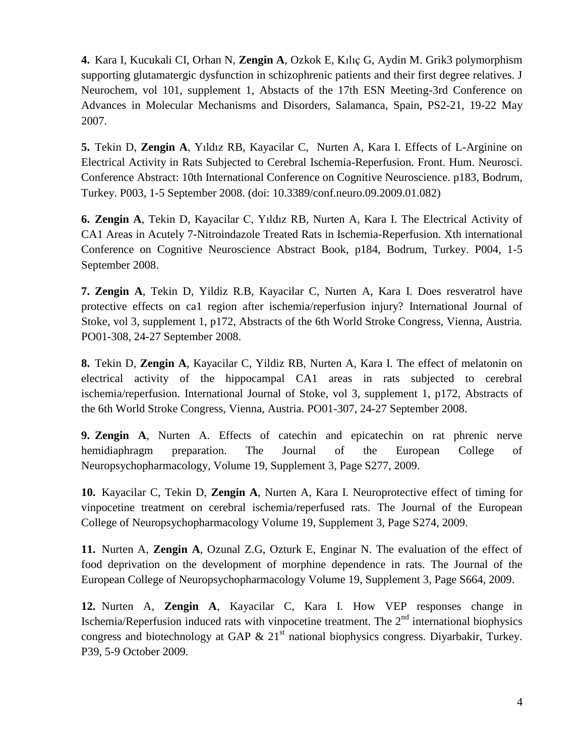**4.** Kara I, Kucukali CI, Orhan N, **Zengin A**, Ozkok E, Kılıç G, Aydin M. Grik3 polymorphism supporting glutamatergic dysfunction in schizophrenic patients and their first degree relatives. J Neurochem, vol 101, supplement 1, Abstacts of the 17th ESN Meeting-3rd Conference on Advances in Molecular Mechanisms and Disorders, Salamanca, Spain, PS2-21, 19-22 May 2007.

**5.** Tekin D, **Zengin A**, Yıldız RB, Kayacilar C, Nurten A, Kara I. Effects of L-Arginine on Electrical Activity in Rats Subjected to Cerebral Ischemia-Reperfusion. Front. Hum. Neurosci. Conference Abstract: 10th International Conference on Cognitive Neuroscience. p183, Bodrum, Turkey. P003, 1-5 September 2008. (doi: 10.3389/conf.neuro.09.2009.01.082)

**6. Zengin A**, Tekin D, Kayacilar C, Yıldız RB, Nurten A, Kara I. The Electrical Activity of CA1 Areas in Acutely 7-Nitroindazole Treated Rats in Ischemia-Reperfusion. Xth international Conference on Cognitive Neuroscience Abstract Book, p184, Bodrum, Turkey. P004, 1-5 September 2008.

**7. Zengin A**, Tekin D, Yildiz R.B, Kayacilar C, Nurten A, Kara I. Does resveratrol have protective effects on ca1 region after ischemia/reperfusion injury? International Journal of Stoke, vol 3, supplement 1, p172, Abstracts of the 6th World Stroke Congress, Vienna, Austria. PO01-308, 24-27 September 2008.

**8.** Tekin D, **Zengin A**, Kayacilar C, Yildiz RB, Nurten A, Kara I. The effect of melatonin on electrical activity of the hippocampal CA1 areas in rats subjected to cerebral ischemia/reperfusion. International Journal of Stoke, vol 3, supplement 1, p172, Abstracts of the 6th World Stroke Congress, Vienna, Austria. PO01-307, 24-27 September 2008.

**9. Zengin A**, Nurten A. Effects of catechin and epicatechin on rat phrenic nerve hemidiaphragm preparation. The Journal of the European College of Neuropsychopharmacology, Volume 19, Supplement 3, Page S277, 2009.

**10.** Kayacilar C, Tekin D, **Zengin A**, Nurten A, Kara I. [Neuroprotective effect of timing for](http://ex2.excerptamedica.com/09ecnp/index.cfm?fuseaction=CIS2002&hoofdnav=Search&content=zk.results_all&topicselected=*&searchtext=zengin&what=FREE%20TEXT&selection=ALL&abstrnbr=P.1.c.040)  [vinpocetine treatment on cerebral ischemia/reperfused rats. T](http://ex2.excerptamedica.com/09ecnp/index.cfm?fuseaction=CIS2002&hoofdnav=Search&content=zk.results_all&topicselected=*&searchtext=zengin&what=FREE%20TEXT&selection=ALL&abstrnbr=P.1.c.040)he Journal of the European College of Neuropsychopharmacology Volume 19, Supplement 3, Page S274, 2009.

**11.** Nurten A, **Zengin A**, Ozunal Z.G, Ozturk E, Enginar N. The evaluation of the effect of food deprivation on the development of morphine dependence in rats. The Journal of the European College of Neuropsychopharmacology Volume 19, Supplement 3, Page S664, 2009.

**12.** Nurten A, **Zengin A**, Kayacilar C, Kara I. How VEP responses change in Ischemia/Reperfusion induced rats with vinpocetine treatment. The  $2<sup>nd</sup>$  international biophysics congress and biotechnology at GAP  $\&$  21<sup>st</sup> national biophysics congress. Divarbakir, Turkey. P39, 5-9 October 2009.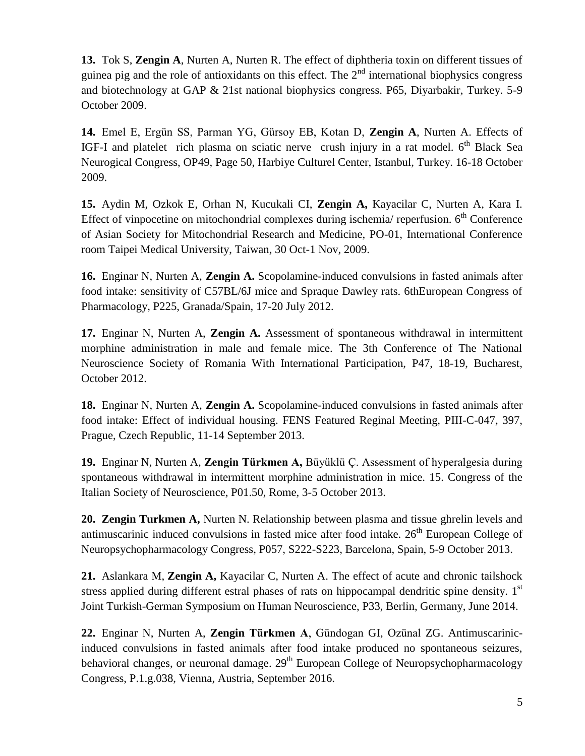**13.** Tok S, **Zengin A**, Nurten A, Nurten R. The effect of diphtheria toxin on different tissues of guinea pig and the role of antioxidants on this effect. The  $2<sup>nd</sup>$  international biophysics congress and biotechnology at GAP & 21st national biophysics congress. P65, Diyarbakir, Turkey. 5-9 October 2009.

**14.** Emel E, Ergün SS, Parman YG, Gürsoy EB, Kotan D, **Zengin A**, Nurten A. Effects of IGF-I and platelet rich plasma on sciatic nerve crush injury in a rat model.  $6<sup>th</sup>$  Black Sea Neurogical Congress, OP49, Page 50, Harbiye Culturel Center, Istanbul, Turkey. 16-18 October 2009.

**15.** Aydin M, Ozkok E, Orhan N, Kucukali CI, **Zengin A,** Kayacilar C, Nurten A, Kara I. Effect of vinpocetine on mitochondrial complexes during ischemia/ reperfusion.  $6<sup>th</sup>$  Conference of Asian Society for Mitochondrial Research and Medicine, PO-01, International Conference room Taipei Medical University, Taiwan, 30 Oct-1 Nov, 2009.

**16.** Enginar N, Nurten A, **Zengin A.** Scopolamine-induced convulsions in fasted animals after food intake: sensitivity of C57BL/6J mice and Spraque Dawley rats. 6thEuropean Congress of Pharmacology, P225, Granada/Spain, 17-20 July 2012.

**17.** Enginar N, Nurten A, **Zengin A.** Assessment of spontaneous withdrawal in intermittent morphine administration in male and female mice. The 3th Conference of The National Neuroscience Society of Romania With International Participation, P47, 18-19, Bucharest, October 2012.

**18.** Enginar N, Nurten A, **Zengin A.** Scopolamine-induced convulsions in fasted animals after food intake: Effect of individual housing. FENS Featured Reginal Meeting, PIII-C-047, 397, Prague, Czech Republic, 11-14 September 2013.

**19.** Enginar N, Nurten A, **Zengin Türkmen A,** Büyüklü Ç. Assessment of hyperalgesia during spontaneous withdrawal in intermittent morphine administration in mice. 15. Congress of the Italian Society of Neuroscience, P01.50, Rome, 3-5 October 2013.

**20. Zengin Turkmen A,** Nurten N. Relationship between plasma and tissue ghrelin levels and antimuscarinic induced convulsions in fasted mice after food intake.  $26<sup>th</sup>$  European College of Neuropsychopharmacology Congress, P057, S222-S223, Barcelona, Spain, 5-9 October 2013.

**21.** Aslankara M, **Zengin A,** Kayacilar C, Nurten A. The effect of acute and chronic tailshock stress applied during different estral phases of rats on hippocampal dendritic spine density.  $1<sup>st</sup>$ Joint Turkish-German Symposium on Human Neuroscience, P33, Berlin, Germany, June 2014.

**22.** Enginar N, Nurten A, **Zengin Türkmen A**, Gündogan GI, Ozünal ZG. Antimuscarinicinduced convulsions in fasted animals after food intake produced no spontaneous seizures, behavioral changes, or neuronal damage.  $29<sup>th</sup>$  European College of Neuropsychopharmacology Congress, P.1.g.038, Vienna, Austria, September 2016.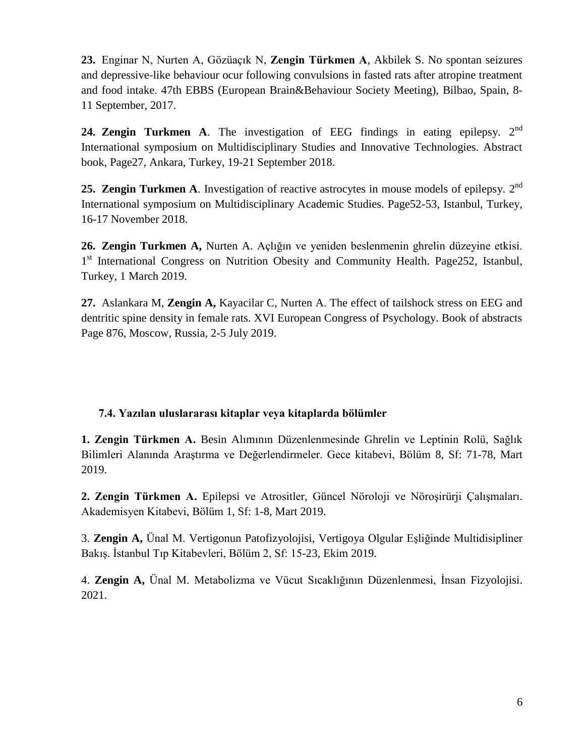**23.** Enginar N, Nurten A, Gözüaçık N, **Zengin Türkmen A**, Akbilek S. No spontan seizures and depressive-like behaviour ocur following convulsions in fasted rats after atropine treatment and food intake. 47th EBBS (European Brain&Behaviour Society Meeting), Bilbao, Spain, 8- 11 September, 2017.

**24. Zengin Turkmen A**. The investigation of EEG findings in eating epilepsy. 2<sup>nd</sup> International symposium on Multidisciplinary Studies and Innovative Technologies. Abstract book, Page27, Ankara, Turkey, 19-21 September 2018.

25. Zengin Turkmen A. Investigation of reactive astrocytes in mouse models of epilepsy. 2<sup>nd</sup> International symposium on Multidisciplinary Academic Studies. Page52-53, Istanbul, Turkey, 16-17 November 2018.

**26. Zengin Turkmen A,** Nurten A. Açlığın ve yeniden beslenmenin ghrelin düzeyine etkisi. 1<sup>st</sup> International Congress on Nutrition Obesity and Community Health. Page252, Istanbul, Turkey, 1 March 2019.

**27.** Aslankara M, **Zengin A,** Kayacilar C, Nurten A. The effect of tailshock stress on EEG and dentritic spine density in female rats. XVI European Congress of Psychology. Book of abstracts Page 876, Moscow, Russia, 2-5 July 2019.

### **7.4. Yazılan uluslararası kitaplar veya kitaplarda bölümler**

**1. Zengin Türkmen A.** Besin Alımının Düzenlenmesinde Ghrelin ve Leptinin Rolü, Sağlık Bilimleri Alanında Araştırma ve Değerlendirmeler. Gece kitabevi, Bölüm 8, Sf: 71-78, Mart 2019.

**2. Zengin Türkmen A.** Epilepsi ve Atrositler, Güncel Nöroloji ve Nöroşirürji Çalışmaları. Akademisyen Kitabevi, Bölüm 1, Sf: 1-8, Mart 2019.

3. **Zengin A,** Ünal M. Vertigonun Patofizyolojisi, Vertigoya Olgular Eşliğinde Multidisipliner Bakış. İstanbul Tıp Kitabevleri, Bölüm 2, Sf: 15-23, Ekim 2019.

4. **Zengin A,** Ünal M. Metabolizma ve Vücut Sıcaklığının Düzenlenmesi, İnsan Fizyolojisi. 2021.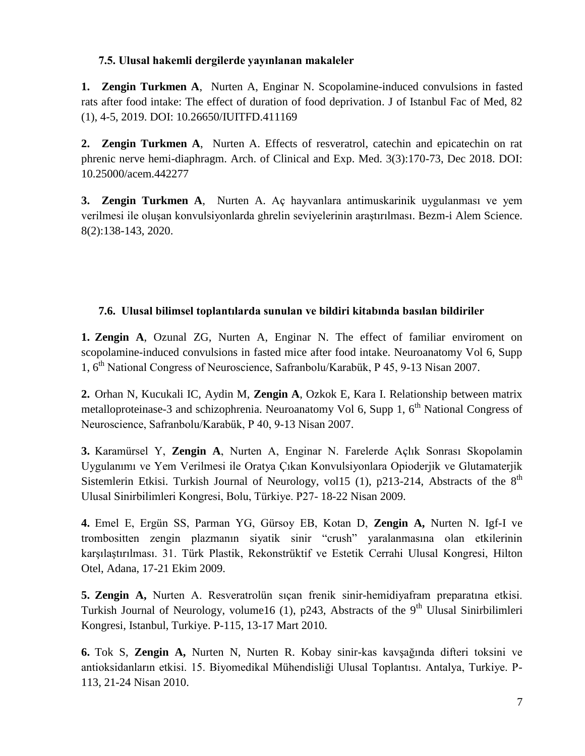### **7.5. Ulusal hakemli dergilerde yayınlanan makaleler**

**1. Zengin Turkmen A**, Nurten A, Enginar N. Scopolamine-induced convulsions in fasted rats after food intake: The effect of duration of food deprivation. J of Istanbul Fac of Med, 82 (1), 4-5, 2019. DOI: 10.26650/IUITFD.411169

**2. Zengin Turkmen A**, Nurten A. Effects of resveratrol, catechin and epicatechin on rat phrenic nerve hemi-diaphragm. Arch. of Clinical and Exp. Med. 3(3):170-73, Dec 2018. DOI: 10.25000/acem.442277

**3. Zengin Turkmen A**, Nurten A. [Aç hayvanlara antimuskarinik uygulanması ve yem](http://bezmialemscience.com/author-center/view-manuscript.php?id=3100&nocache=be03fd21b8ea1dee180f77990364e776)  [verilmesi ile oluşan konvulsiyonlarda ghrelin seviyelerinin araştırılması.](http://bezmialemscience.com/author-center/view-manuscript.php?id=3100&nocache=be03fd21b8ea1dee180f77990364e776) Bezm-i Alem Science. 8(2):138-143, 2020.

### **7.6. Ulusal bilimsel toplantılarda sunulan ve bildiri kitabında basılan bildiriler**

**1. Zengin A**, Ozunal ZG, Nurten A, Enginar N. The effect of familiar enviroment on scopolamine-induced convulsions in fasted mice after food intake. Neuroanatomy Vol 6, Supp 1, 6th National Congress of Neuroscience, Safranbolu/Karabük, P 45, 9-13 Nisan 2007.

**2.** Orhan N, Kucukali IC, Aydin M, **Zengin A**, Ozkok E, Kara I. Relationship between matrix metalloproteinase-3 and schizophrenia. Neuroanatomy Vol 6, Supp 1, 6<sup>th</sup> National Congress of Neuroscience, Safranbolu/Karabük, P 40, 9-13 Nisan 2007.

**3.** Karamürsel Y, **Zengin A**, Nurten A, Enginar N. Farelerde Açlık Sonrası Skopolamin Uygulanımı ve Yem Verilmesi ile Oratya Çıkan Konvulsiyonlara Opioderjik ve Glutamaterjik Sistemlerin Etkisi. Turkish Journal of Neurology, vol15 (1), p213-214, Abstracts of the 8<sup>th</sup> Ulusal Sinirbilimleri Kongresi, Bolu, Türkiye. P27- 18-22 Nisan 2009.

**4.** Emel E, Ergün SS, Parman YG, Gürsoy EB, Kotan D, **Zengin A,** Nurten N. Igf-I ve trombositten zengin plazmanın siyatik sinir "crush" yaralanmasına olan etkilerinin karşılaştırılması. 31. Türk Plastik, Rekonstrüktif ve Estetik Cerrahi Ulusal Kongresi, Hilton Otel, Adana, 17-21 Ekim 2009.

**5. Zengin A,** Nurten A. Resveratrolün sıçan frenik sinir-hemidiyafram preparatına etkisi. Turkish Journal of Neurology, volume16 (1), p243, Abstracts of the 9<sup>th</sup> Ulusal Sinirbilimleri Kongresi, Istanbul, Turkiye. P-115, 13-17 Mart 2010.

**6.** Tok S, **Zengin A,** Nurten N, Nurten R. Kobay sinir-kas kavşağında difteri toksini ve antioksidanların etkisi. 15. Biyomedikal Mühendisliği Ulusal Toplantısı. Antalya, Turkiye. P-113, 21-24 Nisan 2010.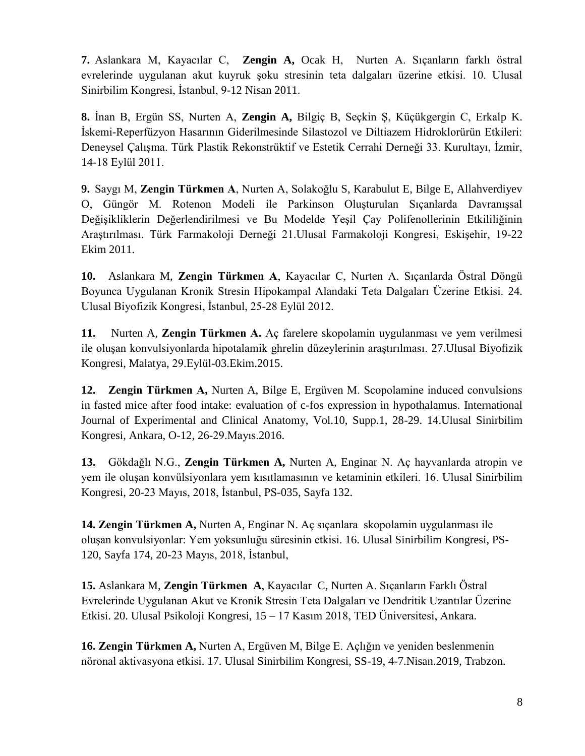**7.** Aslankara M, Kayacılar C, **Zengin A,** Ocak H, Nurten A. Sıçanların farklı östral evrelerinde uygulanan akut kuyruk şoku stresinin teta dalgaları üzerine etkisi. 10. Ulusal Sinirbilim Kongresi, İstanbul, 9-12 Nisan 2011.

**8.** İnan B, Ergün SS, Nurten A, **Zengin A,** Bilgiç B, Seçkin Ş, Küçükgergin C, Erkalp K. İskemi-Reperfüzyon Hasarının Giderilmesinde Silastozol ve Diltiazem Hidroklorürün Etkileri: Deneysel Çalışma. Türk Plastik Rekonstrüktif ve Estetik Cerrahi Derneği 33. Kurultayı, İzmir, 14-18 Eylül 2011.

**9.** Saygı M, **Zengin Türkmen A**, Nurten A, Solakoğlu S, Karabulut E, Bilge E, Allahverdiyev O, Güngör M. Rotenon Modeli ile Parkinson Oluşturulan Sıçanlarda Davranışsal Değişikliklerin Değerlendirilmesi ve Bu Modelde Yeşil Çay Polifenollerinin Etkililiğinin Araştırılması. Türk Farmakoloji Derneği 21.Ulusal Farmakoloji Kongresi, Eskişehir, 19-22 Ekim 2011.

**10.** Aslankara M, **Zengin Türkmen A**, Kayacılar C, Nurten A. Sıçanlarda Östral Döngü Boyunca Uygulanan Kronik Stresin Hipokampal Alandaki Teta Dalgaları Üzerine Etkisi. 24. Ulusal Biyofizik Kongresi, İstanbul, 25-28 Eylül 2012.

**11.** Nurten A, **Zengin Türkmen A.** Aç farelere skopolamin uygulanması ve yem verilmesi ile oluşan konvulsiyonlarda hipotalamik ghrelin düzeylerinin araştırılması. 27.Ulusal Biyofizik Kongresi, Malatya, 29.Eylül-03.Ekim.2015.

**12. Zengin Türkmen A,** Nurten A, Bilge E, Ergüven M. Scopolamine induced convulsions in fasted mice after food intake: evaluation of c-fos expression in hypothalamus. International Journal of Experimental and Clinical Anatomy, Vol.10, Supp.1, 28-29. 14.Ulusal Sinirbilim Kongresi, Ankara, O-12, 26-29.Mayıs.2016.

**13.** Gökdağlı N.G., **Zengin Türkmen A,** Nurten A, Enginar N. Aç hayvanlarda atropin ve yem ile oluşan konvülsiyonlara yem kısıtlamasının ve ketaminin etkileri. 16. Ulusal Sinirbilim Kongresi, 20-23 Mayıs, 2018, İstanbul, PS-035, Sayfa 132.

**14. Zengin Türkmen A,** Nurten A, Enginar N. Aç sıçanlara skopolamin uygulanması ile oluşan konvulsiyonlar: Yem yoksunluğu süresinin etkisi. 16. Ulusal Sinirbilim Kongresi, PS-120, Sayfa 174, 20-23 Mayıs, 2018, İstanbul,

**15.** Aslankara M, **Zengin Türkmen A**, Kayacılar C, Nurten A. Sıçanların Farklı Östral Evrelerinde Uygulanan Akut ve Kronik Stresin Teta Dalgaları ve Dendritik Uzantılar Üzerine Etkisi. 20. Ulusal Psikoloji Kongresi, 15 – 17 Kasım 2018, TED Üniversitesi, Ankara.

**16. Zengin Türkmen A,** Nurten A, Ergüven M, Bilge E. Açlığın ve yeniden beslenmenin nöronal aktivasyona etkisi. 17. Ulusal Sinirbilim Kongresi, SS-19, 4-7.Nisan.2019, Trabzon.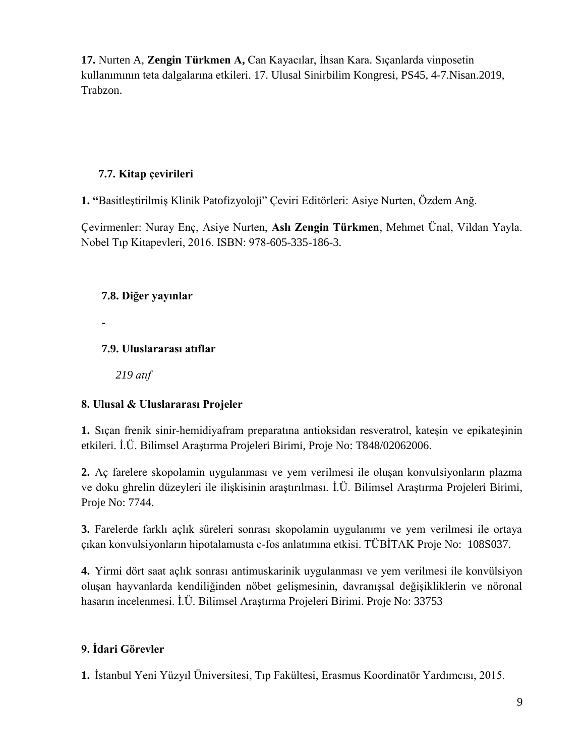**17.** Nurten A, **Zengin Türkmen A,** Can Kayacılar, İhsan Kara. Sıçanlarda vinposetin kullanımının teta dalgalarına etkileri. 17. Ulusal Sinirbilim Kongresi, PS45, 4-7.Nisan.2019, Trabzon.

### **7.7. Kitap çevirileri**

**1. "**Basitleştirilmiş Klinik Patofizyoloji" Çeviri Editörleri: Asiye Nurten, Özdem Anğ.

Çevirmenler: Nuray Enç, Asiye Nurten, **Aslı Zengin Türkmen**, Mehmet Ünal, Vildan Yayla. Nobel Tıp Kitapevleri, 2016. ISBN: 978-605-335-186-3.

### **7.8. Diğer yayınlar**

**-**

### **7.9. Uluslararası atıflar**

*219 atıf*

# **8. Ulusal & Uluslararası Projeler**

**1.** Sıçan frenik sinir-hemidiyafram preparatına antioksidan resveratrol, kateşin ve epikateşinin etkileri. İ.Ü. Bilimsel Araştırma Projeleri Birimi, Proje No: T848/02062006.

**2.** Aç farelere skopolamin uygulanması ve yem verilmesi ile oluşan konvulsiyonların plazma ve doku ghrelin düzeyleri ile ilişkisinin araştırılması. İ.Ü. Bilimsel Araştırma Projeleri Birimi, Proje No: 7744.

**3.** Farelerde farklı açlık süreleri sonrası skopolamin uygulanımı ve yem verilmesi ile ortaya çıkan konvulsiyonların hipotalamusta c-fos anlatımına etkisi. TÜBİTAK Proje No: 108S037.

**4.** Yirmi dört saat açlık sonrası antimuskarinik uygulanması ve yem verilmesi ile konvülsiyon oluşan hayvanlarda kendiliğinden nöbet gelişmesinin, davranışsal değişikliklerin ve nöronal hasarın incelenmesi. İ.Ü. Bilimsel Araştırma Projeleri Birimi. Proje No: 33753

# **9. İdari Görevler**

**1.** İstanbul Yeni Yüzyıl Üniversitesi, Tıp Fakültesi, Erasmus Koordinatör Yardımcısı, 2015.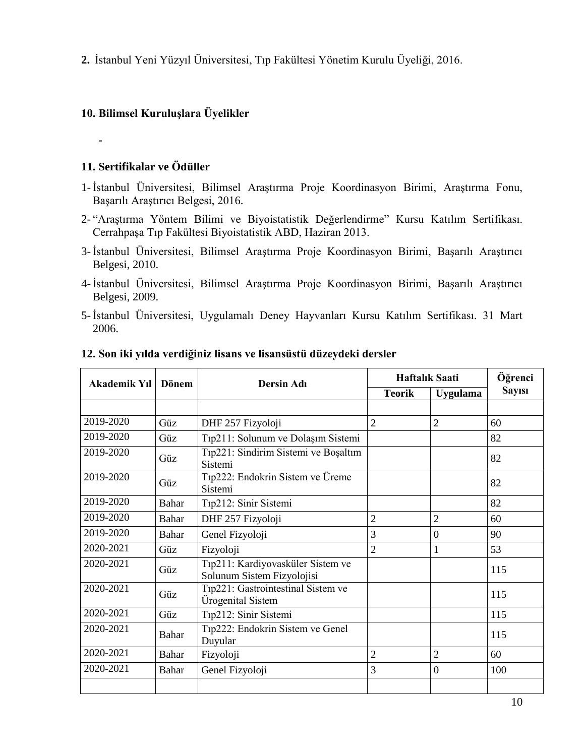**2.** İstanbul Yeni Yüzyıl Üniversitesi, Tıp Fakültesi Yönetim Kurulu Üyeliği, 2016.

## **10. Bilimsel Kuruluşlara Üyelikler**

**-**

### **11. Sertifikalar ve Ödüller**

- 1- İstanbul Üniversitesi, Bilimsel Araştırma Proje Koordinasyon Birimi, Araştırma Fonu, Başarılı Araştırıcı Belgesi, 2016.
- 2- "Araştırma Yöntem Bilimi ve Biyoistatistik Değerlendirme" Kursu Katılım Sertifikası. Cerrahpaşa Tıp Fakültesi Biyoistatistik ABD, Haziran 2013.
- 3- İstanbul Üniversitesi, Bilimsel Araştırma Proje Koordinasyon Birimi, Başarılı Araştırıcı Belgesi, 2010.
- 4- İstanbul Üniversitesi, Bilimsel Araştırma Proje Koordinasyon Birimi, Başarılı Araştırıcı Belgesi, 2009.
- 5- İstanbul Üniversitesi, Uygulamalı Deney Hayvanları Kursu Katılım Sertifikası. 31 Mart 2006.

| Akademik Yıl | Dönem        | <b>Dersin Adı</b>                                               | <b>Haftalik Saati</b> |                 | Öğrenci       |
|--------------|--------------|-----------------------------------------------------------------|-----------------------|-----------------|---------------|
|              |              |                                                                 | <b>Teorik</b>         | <b>Uygulama</b> | <b>Sayısı</b> |
|              |              |                                                                 |                       |                 |               |
| 2019-2020    | Güz          | DHF 257 Fizyoloji                                               | $\overline{2}$        | $\overline{2}$  | 60            |
| 2019-2020    | Güz          | Tıp211: Solunum ve Dolaşım Sistemi                              |                       |                 | 82            |
| 2019-2020    | Güz          | Tıp221: Sindirim Sistemi ve Boşaltım<br>Sistemi                 |                       |                 | 82            |
| 2019-2020    | Güz          | Tıp222: Endokrin Sistem ve Üreme<br>Sistemi                     |                       |                 | 82            |
| 2019-2020    | Bahar        | Tıp212: Sinir Sistemi                                           |                       |                 | 82            |
| 2019-2020    | Bahar        | DHF 257 Fizyoloji                                               | $\overline{2}$        | $\overline{2}$  | 60            |
| 2019-2020    | Bahar        | Genel Fizyoloji                                                 | 3                     | $\overline{0}$  | 90            |
| 2020-2021    | Güz          | Fizyoloji                                                       | $\overline{2}$        | 1               | 53            |
| 2020-2021    | Güz          | Tıp211: Kardiyovasküler Sistem ve<br>Solunum Sistem Fizyolojisi |                       |                 | 115           |
| 2020-2021    | Güz          | Tıp221: Gastrointestinal Sistem ve<br>Ürogenital Sistem         |                       |                 | 115           |
| 2020-2021    | Güz          | Tıp212: Sinir Sistemi                                           |                       |                 | 115           |
| 2020-2021    | <b>Bahar</b> | Tıp222: Endokrin Sistem ve Genel<br>Duyular                     |                       |                 | 115           |
| 2020-2021    | Bahar        | Fizyoloji                                                       | $\overline{2}$        | $\overline{2}$  | 60            |
| 2020-2021    | Bahar        | Genel Fizyoloji                                                 | 3                     | $\overline{0}$  | 100           |
|              |              |                                                                 |                       |                 |               |

#### **12. Son iki yılda verdiğiniz lisans ve lisansüstü düzeydeki dersler**